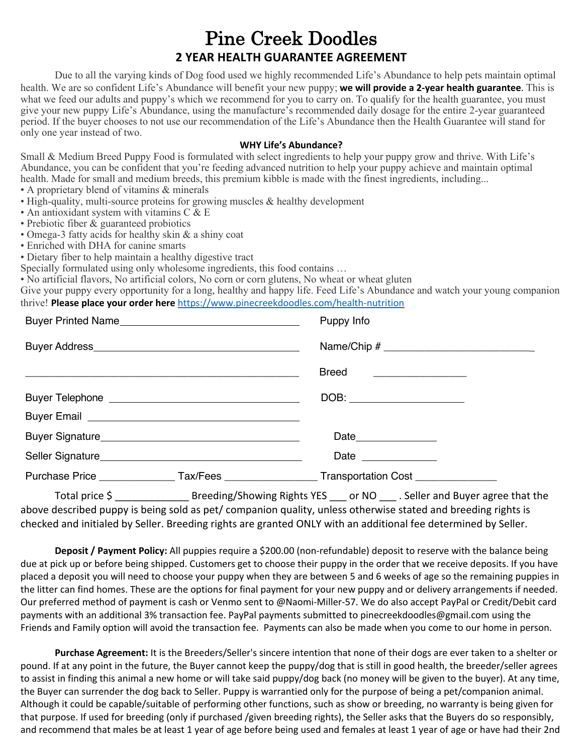## Pine Creek Doodles **2 YEAR HEALTH GUARANTEE AGREEMENT**

Due to all the varying kinds of Dog food used we highly recommended Life's Abundance to help pets maintain optimal health. We are so confident Life's Abundance will benefit your new puppy; **we will provide a 2-year health guarantee**. This is what we feed our adults and puppy's which we recommend for you to carry on. To qualify for the health guarantee, you must give your new puppy Life's Abundance, using the manufacture's recommended daily dosage for the entire 2-year guaranteed period. If the buyer chooses to not use our recommendation of the Life's Abundance then the Health Guarantee will stand for only one year instead of two.

## **WHY Life's Abundance?**

Small & Medium Breed Puppy Food is formulated with select ingredients to help your puppy grow and thrive. With Life's Abundance, you can be confident that you're feeding advanced nutrition to help your puppy achieve and maintain optimal health. Made for small and medium breeds, this premium kibble is made with the finest ingredients, including...

· A proprietary blend of vitamins & minerals

- · High-quality, multi-source proteins for growing muscles & healthy development
- · An antioxidant system with vitamins C & E
- · Prebiotic fiber & guaranteed probiotics
- · Omega-3 fatty acids for healthy skin & a shiny coat
- · Enriched with DHA for canine smarts
- · Dietary fiber to help maintain a healthy digestive tract

Specially formulated using only wholesome ingredients, this food contains …

· No artificial flavors, No artificial colors, No corn or corn glutens, No wheat or wheat gluten

Give your puppy every opportunity for a long, healthy and happy life. Feed Life's Abundance and watch your young companion thrive! **Please place your order here** https://www.pinecreekdoodles.com/health-nutrition

| Buyer Printed Name                     | Puppy Info                                                                              |
|----------------------------------------|-----------------------------------------------------------------------------------------|
| Buyer Address <b>No. 1988</b> No. 1998 |                                                                                         |
|                                        | <b>Breed</b>                                                                            |
|                                        |                                                                                         |
|                                        |                                                                                         |
|                                        |                                                                                         |
|                                        | Date $\_\_$                                                                             |
|                                        | Purchase Price _______________Tax/Fees _________________Transportation Cost ___________ |

Total price \$ \_\_\_\_\_\_\_\_\_\_\_\_\_ Breeding/Showing Rights YES \_\_\_ or NO \_\_\_ . Seller and Buyer agree that the above described puppy is being sold as pet/ companion quality, unless otherwise stated and breeding rights is checked and initialed by Seller. Breeding rights are granted ONLY with an additional fee determined by Seller.

**Deposit / Payment Policy:** All puppies require a \$200.00 (non-refundable) deposit to reserve with the balance being due at pick up or before being shipped. Customers get to choose their puppy in the order that we receive deposits. If you have placed a deposit you will need to choose your puppy when they are between 5 and 6 weeks of age so the remaining puppies in the litter can find homes. These are the options for final payment for your new puppy and or delivery arrangements if needed. Our preferred method of payment is cash or Venmo sent to @Naomi-Miller-57. We do also accept PayPal or Credit/Debit card payments with an additional 3% transaction fee. PayPal payments submitted to pinecreekdoodles@gmail.com using the Friends and Family option will avoid the transaction fee. Payments can also be made when you come to our home in person.

**Purchase Agreement:** It is the Breeders/Seller's sincere intention that none of their dogs are ever taken to a shelter or pound. If at any point in the future, the Buyer cannot keep the puppy/dog that is still in good health, the breeder/seller agrees to assist in finding this animal a new home or will take said puppy/dog back (no money will be given to the buyer). At any time, the Buyer can surrender the dog back to Seller. Puppy is warrantied only for the purpose of being a pet/companion animal. Although it could be capable/suitable of performing other functions, such as show or breeding, no warranty is being given for that purpose. If used for breeding (only if purchased /given breeding rights), the Seller asks that the Buyers do so responsibly, and recommend that males be at least 1 year of age before being used and females at least 1 year of age or have had their 2nd